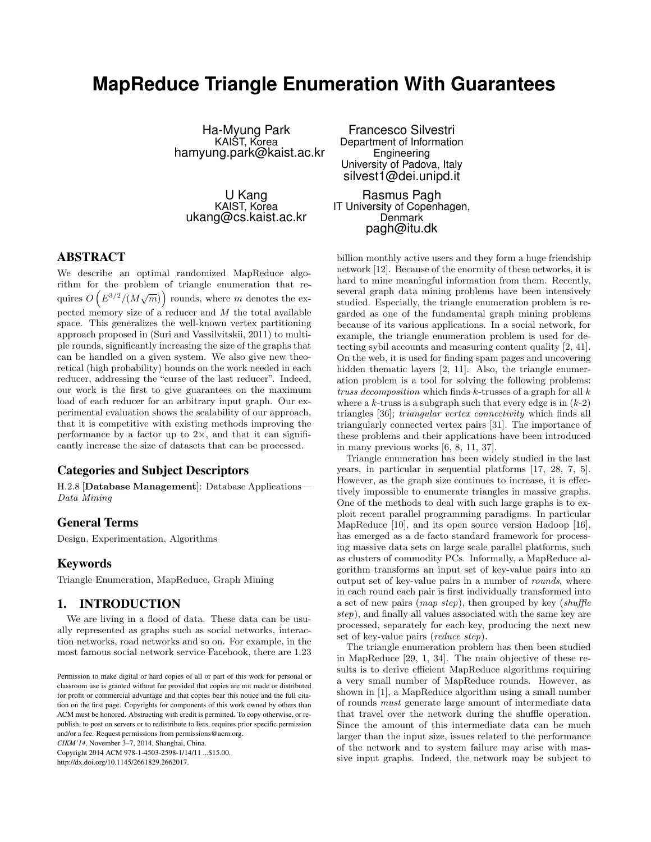# **MapReduce Triangle Enumeration With Guarantees**

Ha-Myung Park KAIST, Korea hamyung.park@kaist.ac.kr

U Kang KAIST, Korea ukang@cs.kaist.ac.kr

# ABSTRACT

We describe an optimal randomized MapReduce algorithm for the problem of triangle enumeration that requires  $O(E^{3/2}/(M\sqrt{m}))$  rounds, where m denotes the expected memory size of a reducer and  $M$  the total available space. This generalizes the well-known vertex partitioning approach proposed in (Suri and Vassilvitskii, 2011) to multiple rounds, significantly increasing the size of the graphs that can be handled on a given system. We also give new theoretical (high probability) bounds on the work needed in each reducer, addressing the "curse of the last reducer". Indeed, our work is the first to give guarantees on the maximum load of each reducer for an arbitrary input graph. Our experimental evaluation shows the scalability of our approach, that it is competitive with existing methods improving the performance by a factor up to  $2\times$ , and that it can significantly increase the size of datasets that can be processed.

# Categories and Subject Descriptors

H.2.8 [Database Management]: Database Applications— Data Mining

## General Terms

Design, Experimentation, Algorithms

## Keywords

Triangle Enumeration, MapReduce, Graph Mining

## 1. INTRODUCTION

We are living in a flood of data. These data can be usually represented as graphs such as social networks, interaction networks, road networks and so on. For example, in the most famous social network service Facebook, there are 1.23

*CIKM'14,* November 3–7, 2014, Shanghai, China.

Copyright 2014 ACM 978-1-4503-2598-1/14/11 ...\$15.00. http://dx.doi.org/10.1145/2661829.2662017.

Francesco Silvestri Department of Information Engineering University of Padova, Italy silvest1@dei.unipd.it

Rasmus Pagh IT University of Copenhagen, Denmark pagh@itu.dk

billion monthly active users and they form a huge friendship network [12]. Because of the enormity of these networks, it is hard to mine meaningful information from them. Recently, several graph data mining problems have been intensively studied. Especially, the triangle enumeration problem is regarded as one of the fundamental graph mining problems because of its various applications. In a social network, for example, the triangle enumeration problem is used for detecting sybil accounts and measuring content quality [2, 41]. On the web, it is used for finding spam pages and uncovering hidden thematic layers [2, 11]. Also, the triangle enumeration problem is a tool for solving the following problems: truss decomposition which finds  $k$ -trusses of a graph for all  $k$ where a  $k$ -truss is a subgraph such that every edge is in  $(k-2)$ triangles [36]; triangular vertex connectivity which finds all triangularly connected vertex pairs [31]. The importance of these problems and their applications have been introduced in many previous works [6, 8, 11, 37].

Triangle enumeration has been widely studied in the last years, in particular in sequential platforms [17, 28, 7, 5]. However, as the graph size continues to increase, it is effectively impossible to enumerate triangles in massive graphs. One of the methods to deal with such large graphs is to exploit recent parallel programming paradigms. In particular MapReduce [10], and its open source version Hadoop [16], has emerged as a de facto standard framework for processing massive data sets on large scale parallel platforms, such as clusters of commodity PCs. Informally, a MapReduce algorithm transforms an input set of key-value pairs into an output set of key-value pairs in a number of rounds, where in each round each pair is first individually transformed into a set of new pairs (map step), then grouped by key (shuffle step), and finally all values associated with the same key are processed, separately for each key, producing the next new set of key-value pairs (*reduce step*).

The triangle enumeration problem has then been studied in MapReduce [29, 1, 34]. The main objective of these results is to derive efficient MapReduce algorithms requiring a very small number of MapReduce rounds. However, as shown in [1], a MapReduce algorithm using a small number of rounds must generate large amount of intermediate data that travel over the network during the shuffle operation. Since the amount of this intermediate data can be much larger than the input size, issues related to the performance of the network and to system failure may arise with massive input graphs. Indeed, the network may be subject to

Permission to make digital or hard copies of all or part of this work for personal or classroom use is granted without fee provided that copies are not made or distributed for profit or commercial advantage and that copies bear this notice and the full citation on the first page. Copyrights for components of this work owned by others than ACM must be honored. Abstracting with credit is permitted. To copy otherwise, or republish, to post on servers or to redistribute to lists, requires prior specific permission and/or a fee. Request permissions from permissions@acm.org.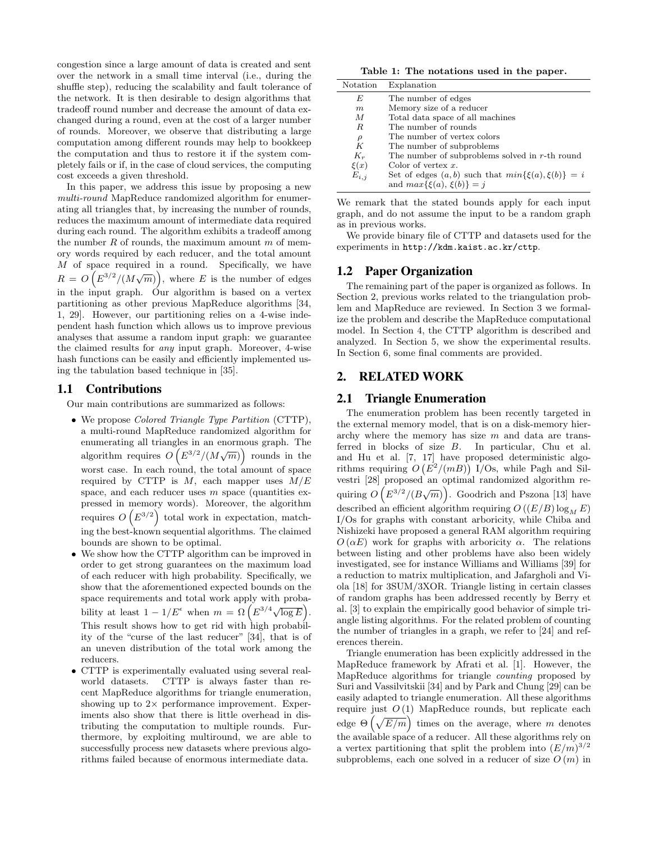congestion since a large amount of data is created and sent over the network in a small time interval (i.e., during the shuffle step), reducing the scalability and fault tolerance of the network. It is then desirable to design algorithms that tradeoff round number and decrease the amount of data exchanged during a round, even at the cost of a larger number of rounds. Moreover, we observe that distributing a large computation among different rounds may help to bookkeep the computation and thus to restore it if the system completely fails or if, in the case of cloud services, the computing cost exceeds a given threshold.

In this paper, we address this issue by proposing a new multi-round MapReduce randomized algorithm for enumerating all triangles that, by increasing the number of rounds, reduces the maximum amount of intermediate data required during each round. The algorithm exhibits a tradeoff among the number  $R$  of rounds, the maximum amount  $m$  of memory words required by each reducer, and the total amount  $M$  of space required in a round. Specifically, we have  $R = O(E^{3/2}/(M\sqrt{m}))$ , where E is the number of edges in the input graph. Our algorithm is based on a vertex partitioning as other previous MapReduce algorithms [34, 1, 29]. However, our partitioning relies on a 4-wise independent hash function which allows us to improve previous analyses that assume a random input graph: we guarantee the claimed results for any input graph. Moreover, 4-wise hash functions can be easily and efficiently implemented using the tabulation based technique in [35].

#### 1.1 Contributions

Our main contributions are summarized as follows:

- We propose *Colored Triangle Type Partition* (CTTP), a multi-round MapReduce randomized algorithm for enumerating all triangles in an enormous graph. The algorithm requires  $O(E^{3/2}/(M\sqrt{m}))$  rounds in the worst case. In each round, the total amount of space required by CTTP is  $M$ , each mapper uses  $M/E$ space, and each reducer uses  $m$  space (quantities expressed in memory words). Moreover, the algorithm requires  $O(E^{3/2})$  total work in expectation, matching the best-known sequential algorithms. The claimed bounds are shown to be optimal.
- We show how the CTTP algorithm can be improved in order to get strong guarantees on the maximum load of each reducer with high probability. Specifically, we show that the aforementioned expected bounds on the space requirements and total work apply with probability at least  $1 - 1/E^{\epsilon}$  when  $m = \Omega(E^{3/4}\sqrt{\log E})$ . This result shows how to get rid with high probability of the "curse of the last reducer" [34], that is of an uneven distribution of the total work among the reducers.
- CTTP is experimentally evaluated using several realworld datasets. CTTP is always faster than recent MapReduce algorithms for triangle enumeration, showing up to  $2\times$  performance improvement. Experiments also show that there is little overhead in distributing the computation to multiple rounds. Furthermore, by exploiting multiround, we are able to successfully process new datasets where previous algorithms failed because of enormous intermediate data.

Table 1: The notations used in the paper.

| Notation  | Explanation                                                   |
|-----------|---------------------------------------------------------------|
| E         | The number of edges                                           |
| m         | Memory size of a reducer                                      |
| M         | Total data space of all machines                              |
| R         | The number of rounds                                          |
| $\rho$    | The number of vertex colors                                   |
| K         | The number of subproblems                                     |
| $K_r$     | The number of subproblems solved in $r$ -th round             |
| $\xi(x)$  | Color of vertex $x$ .                                         |
| $E_{i,j}$ | Set of edges $(a, b)$ such that $min{\{\xi(a), \xi(b)\}} = i$ |
|           | and $max{\{\xi(a), \xi(b)\}} = j$                             |

We remark that the stated bounds apply for each input graph, and do not assume the input to be a random graph as in previous works.

We provide binary file of CTTP and datasets used for the experiments in http://kdm.kaist.ac.kr/cttp.

## 1.2 Paper Organization

The remaining part of the paper is organized as follows. In Section 2, previous works related to the triangulation problem and MapReduce are reviewed. In Section 3 we formalize the problem and describe the MapReduce computational model. In Section 4, the CTTP algorithm is described and analyzed. In Section 5, we show the experimental results. In Section 6, some final comments are provided.

## 2. RELATED WORK

## 2.1 Triangle Enumeration

The enumeration problem has been recently targeted in the external memory model, that is on a disk-memory hierarchy where the memory has size  $m$  and data are transferred in blocks of size B. In particular, Chu et al. and Hu et al. [7, 17] have proposed deterministic algorithms requiring  $O(E^2/(mB))$  I/Os, while Pagh and Silvestri [28] proposed an optimal randomized algorithm requiring  $O(E^{3/2}/(B\sqrt{m}))$ . Goodrich and Pszona [13] have described an efficient algorithm requiring  $O((E/B) \log_M E)$ I/Os for graphs with constant arboricity, while Chiba and Nishizeki have proposed a general RAM algorithm requiring  $O(\alpha E)$  work for graphs with arboricity  $\alpha$ . The relations between listing and other problems have also been widely investigated, see for instance Williams and Williams [39] for a reduction to matrix multiplication, and Jafargholi and Viola [18] for 3SUM/3XOR. Triangle listing in certain classes of random graphs has been addressed recently by Berry et al. [3] to explain the empirically good behavior of simple triangle listing algorithms. For the related problem of counting the number of triangles in a graph, we refer to [24] and references therein.

Triangle enumeration has been explicitly addressed in the MapReduce framework by Afrati et al. [1]. However, the MapReduce algorithms for triangle *counting* proposed by Suri and Vassilvitskii [34] and by Park and Chung [29] can be easily adapted to triangle enumeration. All these algorithms require just  $O(1)$  MapReduce rounds, but replicate each edge  $\Theta\left(\sqrt{E/m}\right)$  times on the average, where m denotes the available space of a reducer. All these algorithms rely on a vertex partitioning that split the problem into  $(E/m)^{3/2}$ subproblems, each one solved in a reducer of size  $O(m)$  in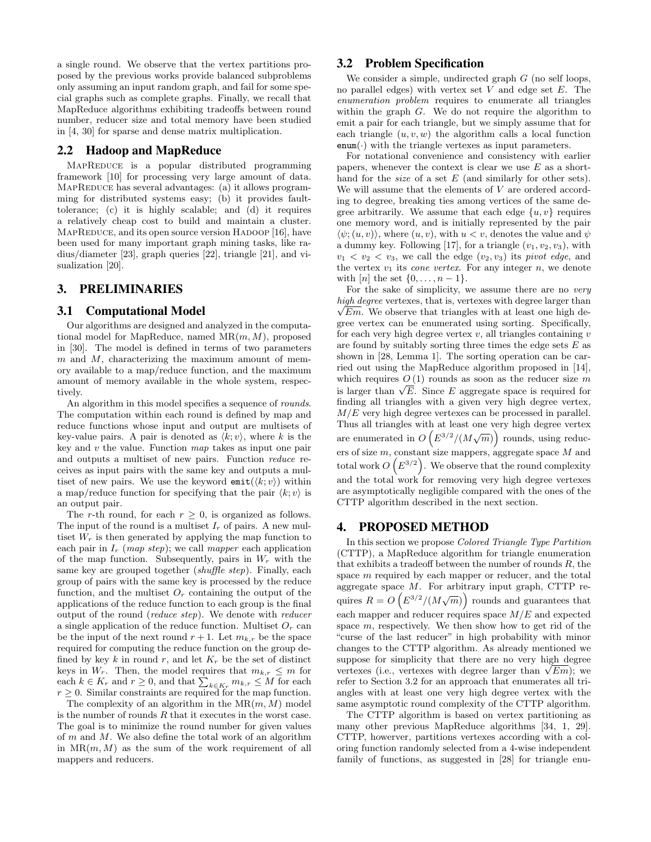a single round. We observe that the vertex partitions proposed by the previous works provide balanced subproblems only assuming an input random graph, and fail for some special graphs such as complete graphs. Finally, we recall that MapReduce algorithms exhibiting tradeoffs between round number, reducer size and total memory have been studied in [4, 30] for sparse and dense matrix multiplication.

## 2.2 Hadoop and MapReduce

MAPREDUCE is a popular distributed programming framework [10] for processing very large amount of data. MAPREDUCE has several advantages: (a) it allows programming for distributed systems easy; (b) it provides faulttolerance; (c) it is highly scalable; and (d) it requires a relatively cheap cost to build and maintain a cluster. MAPREDUCE, and its open source version HADOOP [16], have been used for many important graph mining tasks, like radius/diameter [23], graph queries [22], triangle [21], and visualization [20].

# 3. PRELIMINARIES

#### 3.1 Computational Model

Our algorithms are designed and analyzed in the computational model for MapReduce, named  $MR(m, M)$ , proposed in [30]. The model is defined in terms of two parameters  $m$  and  $M$ , characterizing the maximum amount of memory available to a map/reduce function, and the maximum amount of memory available in the whole system, respectively.

An algorithm in this model specifies a sequence of rounds. The computation within each round is defined by map and reduce functions whose input and output are multisets of key-value pairs. A pair is denoted as  $\langle k; v \rangle$ , where k is the key and  $v$  the value. Function  $map$  takes as input one pair and outputs a multiset of new pairs. Function reduce receives as input pairs with the same key and outputs a multiset of new pairs. We use the keyword  $\text{emit}(\langle k; v \rangle)$  within a map/reduce function for specifying that the pair  $\langle k; v \rangle$  is an output pair.

The r-th round, for each  $r \geq 0$ , is organized as follows. The input of the round is a multiset  $I_r$  of pairs. A new multiset  $W_r$  is then generated by applying the map function to each pair in  $I_r$  (map step); we call mapper each application of the map function. Subsequently, pairs in  $W_r$  with the same key are grouped together *(shuffle step)*. Finally, each group of pairs with the same key is processed by the reduce function, and the multiset  $O_r$  containing the output of the applications of the reduce function to each group is the final output of the round (reduce step). We denote with reducer a single application of the reduce function. Multiset  $O_r$  can be the input of the next round  $r+1$ . Let  $m_{k,r}$  be the space required for computing the reduce function on the group defined by key k in round r, and let  $K_r$  be the set of distinct keys in  $W_r$ . Then, the model requires that  $m_{k,r} \leq m$  for each  $k \in K_r$  and  $r \geq 0$ , and that  $\sum_{k \in K_r} m_{k,r} \leq M$  for each  $r \geq 0$ . Similar constraints are required for the map function.

The complexity of an algorithm in the  $MR(m, M)$  model is the number of rounds  $R$  that it executes in the worst case. The goal is to minimize the round number for given values of  $m$  and  $M$ . We also define the total work of an algorithm in  $MR(m, M)$  as the sum of the work requirement of all mappers and reducers.

## 3.2 Problem Specification

We consider a simple, undirected graph  $G$  (no self loops, no parallel edges) with vertex set  $V$  and edge set  $E$ . The enumeration problem requires to enumerate all triangles within the graph G. We do not require the algorithm to emit a pair for each triangle, but we simply assume that for each triangle  $(u, v, w)$  the algorithm calls a local function  $enum(\cdot)$  with the triangle vertexes as input parameters.

For notational convenience and consistency with earlier papers, whenever the context is clear we use  $E$  as a shorthand for the *size* of a set  $E$  (and similarly for other sets). We will assume that the elements of V are ordered according to degree, breaking ties among vertices of the same degree arbitrarily. We assume that each edge  $\{u, v\}$  requires one memory word, and is initially represented by the pair  $\langle \psi; (u, v) \rangle$ , where  $(u, v)$ , with  $u < v$ , denotes the value and  $\psi$ a dummy key. Following [17], for a triangle  $(v_1, v_2, v_3)$ , with  $v_1 < v_2 < v_3$ , we call the edge  $(v_2, v_3)$  its *pivot edge*, and the vertex  $v_1$  its *cone vertex*. For any integer  $n$ , we denote with [n] the set  $\{0, ..., n-1\}$ .

For the sake of simplicity, we assume there are no very high degree vertexes, that is, vertexes with degree larger than  $\sqrt{2}$  $\sqrt{Em}$ . We observe that triangles with at least one high degree vertex can be enumerated using sorting. Specifically, for each very high degree vertex  $v$ , all triangles containing  $v$ are found by suitably sorting three times the edge sets  $E$  as shown in [28, Lemma 1]. The sorting operation can be carried out using the MapReduce algorithm proposed in [14], which requires  $O(1)$  rounds as soon as the reducer size m which requires  $O(1)$  rounds as soon as the reducer size m<br>is larger than  $\sqrt{E}$ . Since E aggregate space is required for finding all triangles with a given very high degree vertex,  $M/E$  very high degree vertexes can be processed in parallel. Thus all triangles with at least one very high degree vertex are enumerated in  $O(E^{3/2}/(M\sqrt{m}))$  rounds, using reducers of size m, constant size mappers, aggregate space M and total work  $O(E^{3/2})$ . We observe that the round complexity and the total work for removing very high degree vertexes are asymptotically negligible compared with the ones of the CTTP algorithm described in the next section.

#### 4. PROPOSED METHOD

In this section we propose Colored Triangle Type Partition (CTTP), a MapReduce algorithm for triangle enumeration that exhibits a tradeoff between the number of rounds  $R$ , the space m required by each mapper or reducer, and the total aggregate space M. For arbitrary input graph, CTTP requires  $R = O\left(E^{3/2}/(M\sqrt{m})\right)$  rounds and guarantees that each mapper and reducer requires space  $M/E$  and expected space  $m$ , respectively. We then show how to get rid of the "curse of the last reducer" in high probability with minor changes to the CTTP algorithm. As already mentioned we suppose for simplicity that there are no very high degree suppose for simplicity that there are no very high degree vertexes (i.e., vertexes with degree larger than  $\sqrt{Em}$ ); we refer to Section 3.2 for an approach that enumerates all triangles with at least one very high degree vertex with the same asymptotic round complexity of the CTTP algorithm.

The CTTP algorithm is based on vertex partitioning as many other previous MapReduce algorithms [34, 1, 29]. CTTP, howerver, partitions vertexes according with a coloring function randomly selected from a 4-wise independent family of functions, as suggested in [28] for triangle enu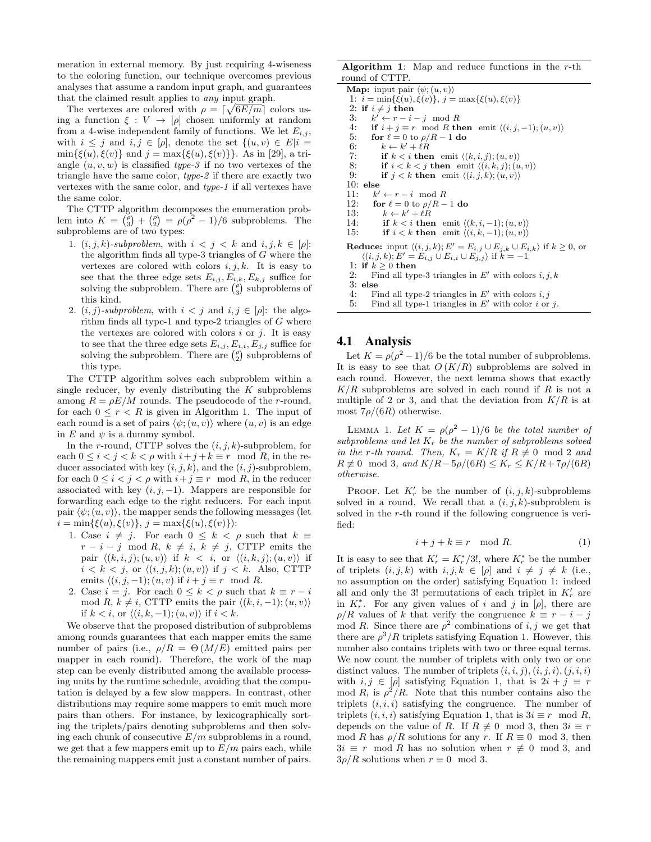meration in external memory. By just requiring 4-wiseness to the coloring function, our technique overcomes previous analyses that assume a random input graph, and guarantees that the claimed result applies to any input graph.

The vertexes are colored with  $\rho = \lceil \sqrt{6E/m} \rceil$  colors using a function  $\xi: V \to [\rho]$  chosen uniformly at random from a 4-wise independent family of functions. We let  $E_{i,j}$ , with  $i \leq j$  and  $i, j \in [\rho]$ , denote the set  $\{(u, v) \in E | i =$  $\min\{\xi(u), \xi(v)\}\$  and  $j = \max\{\xi(u), \xi(v)\}\$ . As in [29], a triangle  $(u, v, w)$  is classified type-3 if no two vertexes of the triangle have the same color, type-2 if there are exactly two vertexes with the same color, and type-1 if all vertexes have the same color.

The CTTP algorithm decomposes the enumeration problem into  $K = \begin{pmatrix} \rho \\ 3 \end{pmatrix} + \begin{pmatrix} \rho \\ 2 \end{pmatrix} = \rho(\rho^2 - 1)/6$  subproblems. The subproblems are of two types:

- 1.  $(i, j, k)$ -subproblem, with  $i < j < k$  and  $i, j, k \in [\rho]$ : the algorithm finds all type-3 triangles of G where the vertexes are colored with colors  $i, j, k$ . It is easy to see that the three edge sets  $E_{i,j}, E_{i,k}, E_{k,j}$  suffice for solving the subproblem. There are  $\binom{\rho}{3}$  subproblems of this kind.
- 2.  $(i, j)$ -subproblem, with  $i < j$  and  $i, j \in [\rho]$ : the algorithm finds all type-1 and type-2 triangles of  $G$  where the vertexes are colored with colors  $i$  or  $j$ . It is easy to see that the three edge sets  $E_{i,j}, E_{i,i}, E_{j,j}$  suffice for solving the subproblem. There are  $\binom{\rho}{2}$  subproblems of this type.

The CTTP algorithm solves each subproblem within a single reducer, by evenly distributing the  $K$  subproblems among  $R = \rho E/M$  rounds. The pseudocode of the *r*-round, for each  $0 \leq r < R$  is given in Algorithm 1. The input of each round is a set of pairs  $\langle \psi; (u, v) \rangle$  where  $(u, v)$  is an edge in E and  $\psi$  is a dummy symbol.

In the r-round, CTTP solves the  $(i, j, k)$ -subproblem, for each  $0 \leq i < j < k < \rho$  with  $i+j+k \equiv r \mod R$ , in the reducer associated with key  $(i, j, k)$ , and the  $(i, j)$ -subproblem, for each  $0 \leq i < j < \rho$  with  $i+j \equiv r \mod R$ , in the reducer associated with key  $(i, j, -1)$ . Mappers are responsible for forwarding each edge to the right reducers. For each input pair  $\langle \psi; (u, v) \rangle$ , the mapper sends the following messages (let  $i=\min\{\xi(u),\xi(v)\},\, j=\max\{\xi(u),\xi(v)\})\text{:}$ 

- 1. Case  $i \neq j$ . For each  $0 \leq k < \rho$  such that  $k \equiv$  $r - i - j \mod R$ ,  $k \neq i$ ,  $k \neq j$ , CTTP emits the pair  $\langle (k, i, j); (u, v) \rangle$  if  $k < i$ , or  $\langle (i, k, j); (u, v) \rangle$  if  $i < k < j$ , or  $\langle (i, j, k); (u, v) \rangle$  if  $j < k$ . Also, CTTP emits  $\langle (i, j, -1); (u, v) \text{ if } i + j \equiv r \mod R.$
- 2. Case  $i = j$ . For each  $0 \leq k < \rho$  such that  $k \equiv r i$ mod R,  $k \neq i$ , CTTP emits the pair  $\langle (k, i, -1); (u, v) \rangle$ if  $k < i$ , or  $\langle (i, k, -1); (u, v) \rangle$  if  $i < k$ .

We observe that the proposed distribution of subproblems among rounds guarantees that each mapper emits the same number of pairs (i.e.,  $\rho/R = \Theta(M/E)$  emitted pairs per mapper in each round). Therefore, the work of the map step can be evenly distributed among the available processing units by the runtime schedule, avoiding that the computation is delayed by a few slow mappers. In contrast, other distributions may require some mappers to emit much more pairs than others. For instance, by lexicographically sorting the triplets/pairs denoting subproblems and then solving each chunk of consecutive  $E/m$  subproblems in a round, we get that a few mappers emit up to  $E/m$  pairs each, while the remaining mappers emit just a constant number of pairs.

**Algorithm 1:** Map and reduce functions in the  $r$ -th round of CTTP.

**Map:** input pair  $\langle \psi; (u, v) \rangle$ 1:  $i = \min{\{\xi(u), \xi(v)\},\ j = \max{\{\xi(u), \xi(v)\}}$ 2: if  $i \neq j$  then  $3:$  $k' \leftarrow r - i - j \mod R$ 4: if  $i + j \equiv r \mod R$  then emit  $\langle (i, j, -1); (u, v) \rangle$ 5: for  $\ell = 0$  to  $\rho/R - 1$  do 6:  $k \leftarrow k' + \ell R$ 7: **if**  $k < i$  then emit  $\langle (k, i, j); (u, v) \rangle$ <br>8: **if**  $i < k < j$  then emit  $\langle (i, k, j); (u, v) \rangle$ if  $i < k < j$  then emit  $\langle (i, k, j); (u, v) \rangle$ 9: **if**  $j < k$  then emit  $\langle (i, j, k); (u, v) \rangle$ <br>10: **else** else  $\frac{11}{12}$ :  $k' \leftarrow r - i \mod R$ 12: for  $\ell = 0$  to  $\rho/R - 1$  do<br>13:  $k \leftarrow k' + \ell R$ 13:  $k \leftarrow k' + \ell R$ 14: **if**  $k < i$  **then** emit  $\langle (k, i, -1); (u, v) \rangle$ <br>15: **if**  $i < k$  **then** emit  $\langle (i, k, -1); (u, v) \rangle$ if  $i < k$  then emit  $\langle (i, k, -1); (u, v) \rangle$ **Reduce:** input  $\langle (i, j, k); E' = E_{i,j} \cup E_{j,k} \cup E_{i,k} \rangle$  if  $k \geq 0$ , or  $\langle (i, j, k); E' = E_{i,j} \cup E_{i,i} \cup E_{j,j} \rangle$  if  $k = -1$ 1: if  $k \geq 0$  then<br>2: Find all typ Find all type-3 triangles in  $E'$  with colors  $i, j, k$ 3: else 4: Find all type-2 triangles in  $E'$  with colors  $i, j$ 5: Find all type-1 triangles in  $E'$  with color i or j.

#### 4.1 Analysis

Let  $K = \rho(\rho^2 - 1)/6$  be the total number of subproblems. It is easy to see that  $O(K/R)$  subproblems are solved in each round. However, the next lemma shows that exactly  $K/R$  subproblems are solved in each round if R is not a multiple of 2 or 3, and that the deviation from  $K/R$  is at most  $7\rho/(6R)$  otherwise.

LEMMA 1. Let  $K = \rho(\rho^2 - 1)/6$  be the total number of subproblems and let  $K_r$  be the number of subproblems solved in the r-th round. Then,  $K_r = K/R$  if  $R \not\equiv 0 \mod 2$  and  $R \not\equiv 0 \mod 3$ , and  $K/R - 5\rho/(6R) \le K_r \le K/R + 7\rho/(6R)$ otherwise.

PROOF. Let  $K'_r$  be the number of  $(i, j, k)$ -subproblems solved in a round. We recall that a  $(i, j, k)$ -subproblem is solved in the r-th round if the following congruence is verified:

$$
i + j + k \equiv r \mod R. \tag{1}
$$

It is easy to see that  $K'_r = K^*_r/3!$ , where  $K^*_r$  be the number of triplets  $(i, j, k)$  with  $i, j, k \in [p]$  and  $i \neq j \neq k$  (i.e., no assumption on the order) satisfying Equation 1: indeed all and only the 3! permutations of each triplet in  $K'_r$  are in  $K_r^*$ . For any given values of i and j in  $[\rho]$ , there are  $\rho/R$  values of k that verify the congruence  $k \equiv r - i - j$ mod R. Since there are  $\rho^2$  combinations of i, j we get that there are  $\rho^3/R$  triplets satisfying Equation 1. However, this number also contains triplets with two or three equal terms. We now count the number of triplets with only two or one distinct values. The number of triplets  $(i, i, j), (i, j, i), (j, i, i)$ with  $i, j \in [\rho]$  satisfying Equation 1, that is  $2i + j \equiv r$ mod R, is  $\rho^2/R$ . Note that this number contains also the triplets  $(i, i, i)$  satisfying the congruence. The number of triplets  $(i, i, i)$  satisfying Equation 1, that is  $3i \equiv r \mod R$ , depends on the value of R. If  $R \not\equiv 0 \mod 3$ , then  $3i \equiv r$ mod R has  $\rho/R$  solutions for any r. If  $R \equiv 0 \mod 3$ , then  $3i \equiv r \mod R$  has no solution when  $r \not\equiv 0 \mod 3$ , and  $3\rho/R$  solutions when  $r \equiv 0 \mod 3$ .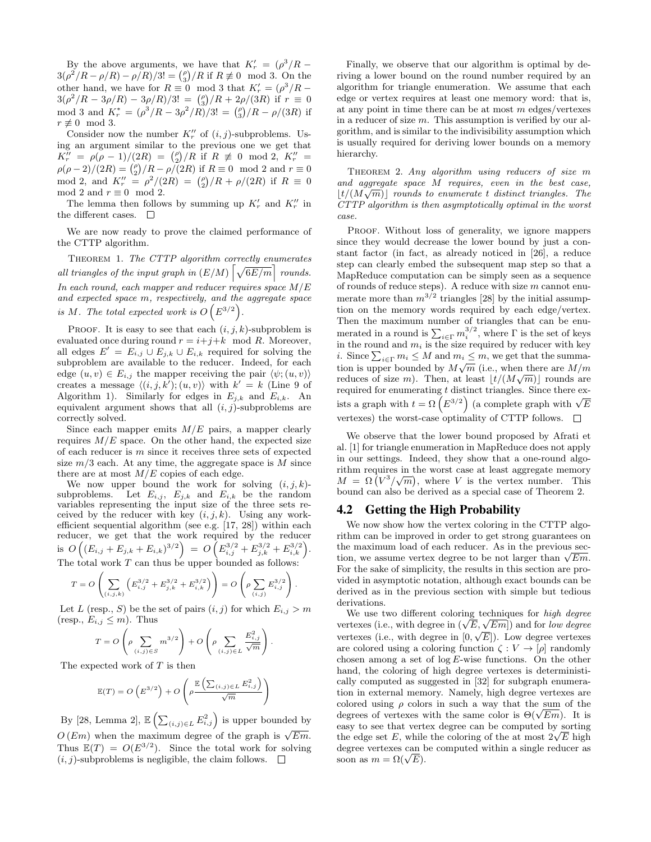By the above arguments, we have that  $K'_r = (\rho^3/R - )$  $3(\rho^2/R - \rho/R) - \rho/R)/3! = \binom{\rho}{3}/R$  if  $R \not\equiv 0 \mod 3$ . On the other hand, we have for  $R \equiv 0 \mod 3$  that  $K'_r = (\rho^3/R 3(\rho^2/R - 3\rho/R) - 3\rho/R)/3! = \binom{\rho}{3}/R + 2\rho/(3R)$  if  $r \equiv 0$ mod 3 and  $K_r^* = (\rho^3/R - 3\rho^2/R)/3! = \binom{\rho}{3}/R - \rho/(3R)$  if  $r \not\equiv 0 \mod 3$ .

Consider now the number  $K''_r$  of  $(i, j)$ -subproblems. Using an argument similar to the previous one we get that  $K_r'' = \rho(\rho - 1)/(2R) = \binom{\rho}{2}/R$  if  $R \not\equiv 0 \mod 2$ ,  $K_r'' =$  $\rho(\rho - 2)/(2R) = \binom{\rho}{2}/R - \rho/(2R)$  if  $R \equiv 0 \mod 2$  and  $r \equiv 0$ mod 2, and  $K''_r = \rho^2/(2R) = \binom{\rho}{2}/R + \rho/(2R)$  if  $R \equiv 0$ mod 2 and  $r \equiv 0 \mod 2$ .

The lemma then follows by summing up  $K'_r$  and  $K''_r$  in the different cases.  $\Box$ 

We are now ready to prove the claimed performance of the CTTP algorithm.

THEOREM 1. The CTTP algorithm correctly enumerates all triangles of the input graph in  $(E/M)$   $\left[\sqrt{6E/m}\right]$  rounds. In each round, each mapper and reducer requires space  $M/E$ and expected space m, respectively, and the aggregate space is M. The total expected work is  $O(E^{3/2})$ .

PROOF. It is easy to see that each  $(i, j, k)$ -subproblem is evaluated once during round  $r = i+j+k \mod R$ . Moreover, all edges  $E' = E_{i,j} \cup E_{j,k} \cup E_{i,k}$  required for solving the subproblem are available to the reducer. Indeed, for each edge  $(u, v) \in E_{i,j}$  the mapper receiving the pair  $\langle \psi; (u, v) \rangle$ creates a message  $\langle (i, j, k') ; (u, v) \rangle$  with  $k' = k$  (Line 9 of Algorithm 1). Similarly for edges in  $E_{j,k}$  and  $E_{i,k}$ . An equivalent argument shows that all  $(i, j)$ -subproblems are correctly solved.

Since each mapper emits  $M/E$  pairs, a mapper clearly requires  $M/E$  space. On the other hand, the expected size of each reducer is  $m$  since it receives three sets of expected size  $m/3$  each. At any time, the aggregate space is M since there are at most  $M/E$  copies of each edge.

We now upper bound the work for solving  $(i, j, k)$ subproblems. Let  $E_{i,j}$ ,  $E_{j,k}$  and  $E_{i,k}$  be the random variables representing the input size of the three sets received by the reducer with key  $(i, j, k)$ . Using any workefficient sequential algorithm (see e.g. [17, 28]) within each reducer, we get that the work required by the reducer is  $O\left((E_{i,j}+E_{j,k}+E_{i,k})^{3/2}\right) = O\left(E_{i,j}^{3/2}+E_{j,k}^{3/2}+E_{i,k}^{3/2}\right).$ The total work  $T$  can thus be upper bounded as follows:

$$
T = O\left(\sum_{(i,j,k)} \left( E_{i,j}^{3/2} + E_{j,k}^{3/2} + E_{i,k}^{3/2} \right) \right) = O\left(\rho \sum_{(i,j)} E_{i,j}^{3/2}\right).
$$

Let L (resp., S) be the set of pairs  $(i, j)$  for which  $E_{i,j} > m$ (resp.,  $E_{i,j} \leq m$ ). Thus

$$
T = O\left(\rho \sum_{(i,j)\in S} m^{3/2}\right) + O\left(\rho \sum_{(i,j)\in L} \frac{E_{i,j}^2}{\sqrt{m}}\right).
$$

The expected work of  $T$  is then

$$
\mathbb{E}(T) = O\left(E^{3/2}\right) + O\left(\rho \frac{\mathbb{E}\left(\sum_{(i,j)\in L} E_{i,j}^2\right)}{\sqrt{m}}\right)
$$

By [28, Lemma 2],  $\mathbb{E}\left(\sum_{(i,j)\in L} E_{i,j}^2\right)$  is upper bounded by  $O(Em)$  when the maximum degree of the graph is  $\sqrt{Em}$ . Thus  $\mathbb{E}(T) = O(E^{3/2})$ . Since the total work for solving  $(i, j)$ -subproblems is negligible, the claim follows.  $\square$ 

Finally, we observe that our algorithm is optimal by deriving a lower bound on the round number required by an algorithm for triangle enumeration. We assume that each edge or vertex requires at least one memory word: that is, at any point in time there can be at most  $m$  edges/vertexes in a reducer of size  $m$ . This assumption is verified by our algorithm, and is similar to the indivisibility assumption which is usually required for deriving lower bounds on a memory hierarchy.

THEOREM 2. Any algorithm using reducers of size  $m$ and aggregate space M requires, even in the best case,  $\lfloor t/(M\sqrt{m}) \rfloor$  rounds to enumerate t distinct triangles. The CTTP algorithm is then asymptotically optimal in the worst case.

PROOF. Without loss of generality, we ignore mappers since they would decrease the lower bound by just a constant factor (in fact, as already noticed in [26], a reduce step can clearly embed the subsequent map step so that a MapReduce computation can be simply seen as a sequence of rounds of reduce steps). A reduce with size  $m$  cannot enumerate more than  $m^{3/2}$  triangles [28] by the initial assumption on the memory words required by each edge/vertex. Then the maximum number of triangles that can be enumerated in a round is  $\sum_{i \in \Gamma} m_i^{3/2}$ , where  $\Gamma$  is the set of keys in the round and  $m_i$  is the size required by reducer with key *i*. Since  $\sum_{i \in \Gamma} m_i \leq M$  and  $m_i \leq m$ , we get that the summation is upper bounded by  $M\sqrt{m}$  (i.e., when there are  $M/m$ reduces of size m). Then, at least  $\left| t/(M\sqrt{m})\right|$  rounds are required for enumerating  $t$  distinct triangles. Since there exists a graph with  $t = \Omega(E^{3/2})$  (a complete graph with  $\sqrt{E}$ vertexes) the worst-case optimality of CTTP follows.  $\Box$ 

We observe that the lower bound proposed by Afrati et al. [1] for triangle enumeration in MapReduce does not apply in our settings. Indeed, they show that a one-round algorithm requires in the worst case at least aggregate memory  $M = \Omega (V^3/\sqrt{m})$ , where V is the vertex number. This bound can also be derived as a special case of Theorem 2.

## 4.2 Getting the High Probability

We now show how the vertex coloring in the CTTP algorithm can be improved in order to get strong guarantees on the maximum load of each reducer. As in the previous secthe maximum load of each reducer. As in the previous section, we assume vertex degree to be not larger than  $\sqrt{Em}$ . For the sake of simplicity, the results in this section are provided in asymptotic notation, although exact bounds can be derived as in the previous section with simple but tedious derivations.

We use two different coloring techniques for *high degree* We use two different coloring techniques for *high degree*<br>vertexes (i.e., with degree in  $(\sqrt{E}, \sqrt{Em})$ ) and for *low degree* vertexes (i.e., with degree in  $[0, \sqrt{E}])$ . Low degree vertexes are colored using a coloring function  $\zeta : V \to [\rho]$  randomly chosen among a set of log E-wise functions. On the other hand, the coloring of high degree vertexes is deterministically computed as suggested in [32] for subgraph enumeration in external memory. Namely, high degree vertexes are colored using  $\rho$  colors in such a way that the sum of the colored using  $\rho$  colors in such a way that the sum of the degrees of vertexes with the same color is  $\Theta(\sqrt{Em})$ . It is easy to see that vertex degree can be computed by sorting easy to see that vertex degree can be computed by sorting the edge set E, while the coloring of the at most  $2\sqrt{E}$  high degree vertexes can be computed within a single reducer as degree vertexes can t<br>soon as  $m = \Omega(\sqrt{E}).$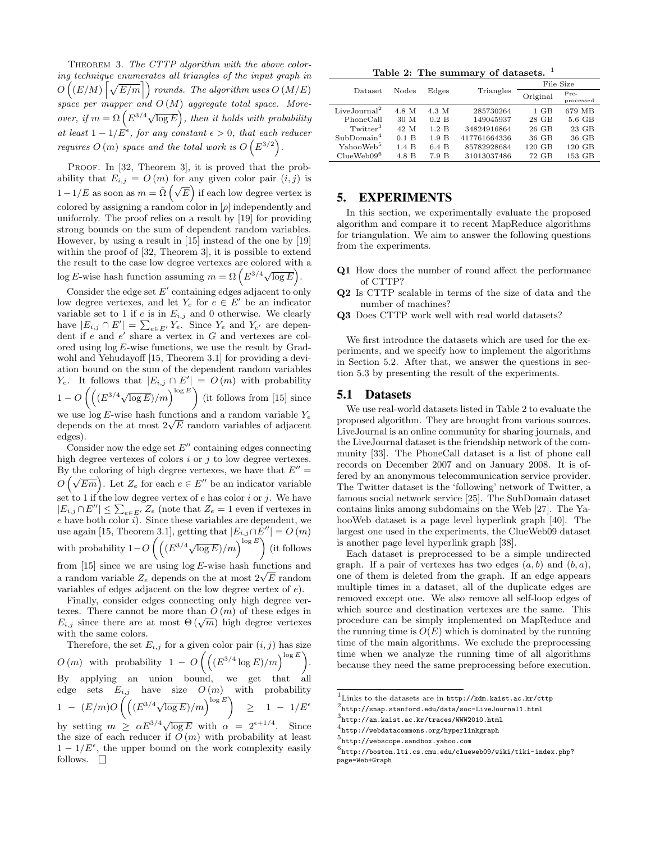THEOREM 3. The CTTP algorithm with the above coloring technique enumerates all triangles of the input graph in  $O\left((E/M)\left[\sqrt{E/m}\right]\right)$  rounds. The algorithm uses  $O\left(M/E\right)$ space per mapper and  $O(M)$  aggregate total space. Moreover, if  $m = \Omega\left(E^{3/4}\sqrt{\log E}\right)$ , then it holds with probability at least  $1 - 1/E^{\epsilon}$ , for any constant  $\epsilon > 0$ , that each reducer requires  $O(m)$  space and the total work is  $O(E^{3/2})$ .

PROOF. In [32, Theorem 3], it is proved that the probability that  $E_{i,j} = O(m)$  for any given color pair  $(i, j)$  is  $1-1/E$  as soon as  $m = \tilde{\Omega}(\sqrt{E})$  if each low degree vertex is colored by assigning a random color in  $[\rho]$  independently and uniformly. The proof relies on a result by [19] for providing strong bounds on the sum of dependent random variables. However, by using a result in [15] instead of the one by [19] within the proof of [32, Theorem 3], it is possible to extend the result to the case low degree vertexes are colored with a log E-wise hash function assuming  $m = \Omega\left(E^{3/4}\sqrt{\log E}\right)$ .

Consider the edge set  $E'$  containing edges adjacent to only low degree vertexes, and let  $Y_e$  for  $e \in E'$  be an indicator variable set to 1 if e is in  $E_{i,j}$  and 0 otherwise. We clearly have  $|E_{i,j} \cap E'| = \sum_{e \in E'} Y_e$ . Since  $Y_e$  and  $Y_{e'}$  are dependent if e and  $e'$  share a vertex in G and vertexes are colored using log E-wise functions, we use the result by Gradwohl and Yehudayoff [15, Theorem 3.1] for providing a deviation bound on the sum of the dependent random variables  $Y_e$ . It follows that  $|E_{i,j} \cap E'| = O(m)$  with probability  $1 - O\left(\left(\frac{E^{3/4}\sqrt{\log E}}{\ln E}\right)^{\log E}\right)$  (it follows from [15] since we use  $\log E$ -wise hash functions and a random variable  $Y_e$ 

we use log E-wise hash functions and a random variable  $Y_e$  depends on the at most  $2\sqrt{E}$  random variables of adjacent edges).

Consider now the edge set  $E''$  containing edges connecting high degree vertexes of colors  $i$  or  $j$  to low degree vertexes. By the coloring of high degree vertexes, we have that  $E'' =$ By the coloring of high degree vertexes, we have that  $E =$ <br> $O(\sqrt{Em})$ . Let  $Z_e$  for each  $e \in E''$  be an indicator variable set to 1 if the low degree vertex of  $e$  has color  $i$  or  $j$ . We have  $|E_{i,j} \cap E''| \leq \sum_{e \in E'} Z_e$  (note that  $Z_e = 1$  even if vertexes in e have both color  $i$ ). Since these variables are dependent, we use again [15, Theorem 3.1], getting that  $|E_{i,j} \cap E''| = O(m)$ with probability  $1-O\left(\left(\frac{E^{3/4}\sqrt{\log E}}{m}\right)^{\log E}\right)$  (it follows from  $[15]$  since we are using  $\log E$ -wise hash functions and a random variable  $Z_e$  depends on the at most  $2\sqrt{E}$  random variables of edges adjacent on the low degree vertex of e).

Finally, consider edges connecting only high degree vertexes. There cannot be more than  $O(m)$  of these edges in Lexes. There cannot be more than  $O(m)$  of these edges in  $E_{i,j}$  since there are at most  $\Theta(\sqrt{m})$  high degree vertexes with the same colors.

Therefore, the set  $E_{i,j}$  for a given color pair  $(i, j)$  has size  $O(m)$  with probability  $1 - O\left(\left(\frac{E^{3/4} \log E}{m}\right)^{\log E}\right).$ By applying an union bound, we get that all edge sets  $E_{i,j}$  have size  $O(m)$  with probability  $1 - (E/m)O\left(\left(\frac{E^{3/4}\sqrt{\log E}}{m}\right)^{\log E}\right) \geq 1 - 1/E^{\epsilon}$ 

by setting  $m \ge \alpha E^{3/4} \sqrt{\log E}$  with  $\alpha = 2^{\epsilon+1/4}$ . Since the size of each reducer if  $O(m)$  with probability at least  $1 - 1/E^{\epsilon}$ , the upper bound on the work complexity easily follows.  $\square$ 

Table 2: The summary of datasets.  $1$ 

|                          | Nodes | Edges | Triangles    | File Size |                            |
|--------------------------|-------|-------|--------------|-----------|----------------------------|
| Dataset                  |       |       |              | Original  | Pre-<br>$_{\rm processed}$ |
| LiveJournal <sup>2</sup> | 4.8 M | 4.3 M | 285730264    | 1 GB      | 679 MB                     |
| PhoneCall                | 30 M  | 0.2 B | 149045937    | 28 GB     | $5.6$ GB                   |
| Twitter <sup>3</sup>     | 42 M  | 1.2 B | 34824916864  | 26 GB     | 23 GB                      |
| SubDomain <sup>4</sup>   | 0.1 B | 1.9 B | 417761664336 | 36 GB     | 36 GB                      |
| YahooWeb <sup>5</sup>    | 1.4 B | 6.4 B | 85782928684  | 120 GB    | 120 GB                     |
| $C$ lueWeb $09^6$        | 4.8 B | 7.9 B | 31013037486  | 72 GB     | 153 GB                     |

## 5. EXPERIMENTS

In this section, we experimentally evaluate the proposed algorithm and compare it to recent MapReduce algorithms for triangulation. We aim to answer the following questions from the experiments.

- Q1 How does the number of round affect the performance of CTTP?
- Q2 Is CTTP scalable in terms of the size of data and the number of machines?
- Q3 Does CTTP work well with real world datasets?

We first introduce the datasets which are used for the experiments, and we specify how to implement the algorithms in Section 5.2. After that, we answer the questions in section 5.3 by presenting the result of the experiments.

#### 5.1 Datasets

We use real-world datasets listed in Table 2 to evaluate the proposed algorithm. They are brought from various sources. LiveJournal is an online community for sharing journals, and the LiveJournal dataset is the friendship network of the community [33]. The PhoneCall dataset is a list of phone call records on December 2007 and on January 2008. It is offered by an anonymous telecommunication service provider. The Twitter dataset is the 'following' network of Twitter, a famous social network service [25]. The SubDomain dataset contains links among subdomains on the Web [27]. The YahooWeb dataset is a page level hyperlink graph [40]. The largest one used in the experiments, the ClueWeb09 dataset is another page level hyperlink graph [38].

Each dataset is preprocessed to be a simple undirected graph. If a pair of vertexes has two edges  $(a, b)$  and  $(b, a)$ , one of them is deleted from the graph. If an edge appears multiple times in a dataset, all of the duplicate edges are removed except one. We also remove all self-loop edges of which source and destination vertexes are the same. This procedure can be simply implemented on MapReduce and the running time is  $O(E)$  which is dominated by the running time of the main algorithms. We exclude the preprocessing time when we analyze the running time of all algorithms because they need the same preprocessing before execution.

 $^1$ Links to the datasets are in <code>http://kdm.kaist.ac.kr/cttp</code>

 $^2$ http://snap.stanford.edu/data/soc-LiveJournal1.html

<sup>3</sup> http://an.kaist.ac.kr/traces/WWW2010.html

 $^4$ http://webdatacommons.org/hyperlinkgraph

 $^5$ http://webscope.sandbox.yahoo.com

<sup>6</sup> http://boston.lti.cs.cmu.edu/clueweb09/wiki/tiki-index.php? page=Web+Graph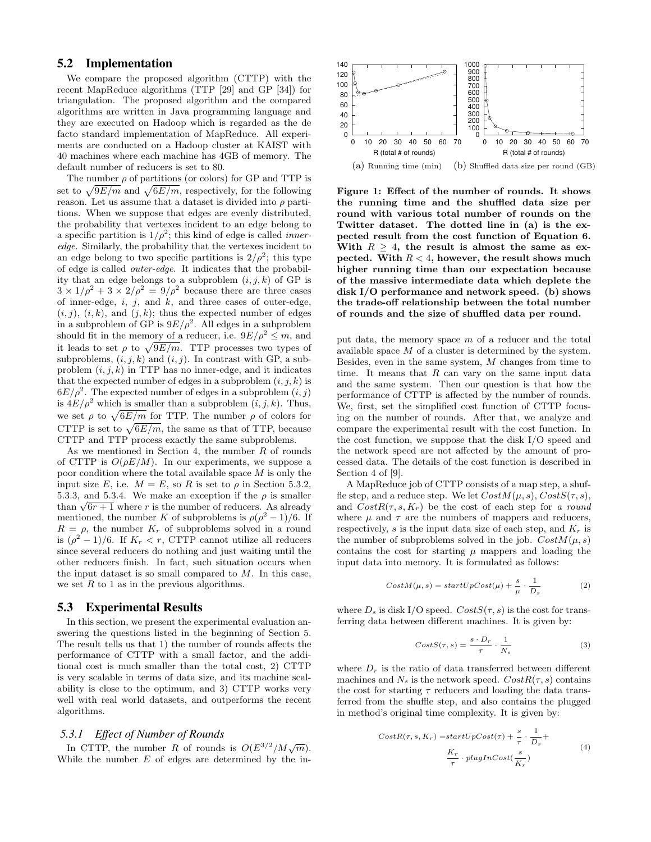## 5.2 Implementation

We compare the proposed algorithm (CTTP) with the recent MapReduce algorithms (TTP [29] and GP [34]) for triangulation. The proposed algorithm and the compared algorithms are written in Java programming language and they are executed on Hadoop which is regarded as the de facto standard implementation of MapReduce. All experiments are conducted on a Hadoop cluster at KAIST with 40 machines where each machine has 4GB of memory. The default number of reducers is set to 80.

The number  $\rho$  of partitions (or colors) for GP and TTP is set to  $\sqrt{9E/m}$  and  $\sqrt{6E/m}$ , respectively, for the following reason. Let us assume that a dataset is divided into  $\rho$  partitions. When we suppose that edges are evenly distributed, the probability that vertexes incident to an edge belong to a specific partition is  $1/\rho^2$ ; this kind of edge is called *inner*edge. Similarly, the probability that the vertexes incident to an edge belong to two specific partitions is  $2/\rho^2$ ; this type of edge is called outer-edge. It indicates that the probability that an edge belongs to a subproblem  $(i, j, k)$  of GP is  $3 \times 1/\rho^2 + 3 \times 2/\rho^2 = 9/\rho^2$  because there are three cases of inner-edge,  $i, j$ , and  $k$ , and three cases of outer-edge,  $(i, j)$ ,  $(i, k)$ , and  $(j, k)$ ; thus the expected number of edges in a subproblem of GP is  $9E/\rho^2$ . All edges in a subproblem should fit in the memory of a reducer, i.e.  $9E/\rho^2 \leq m$ , and it leads to set  $\rho$  to  $\sqrt{9E/m}$ . TTP processes two types of subproblems,  $(i, j, k)$  and  $(i, j)$ . In contrast with GP, a subproblem  $(i, j, k)$  in TTP has no inner-edge, and it indicates that the expected number of edges in a subproblem  $(i, j, k)$  is  $6E/\rho^2$ . The expected number of edges in a subproblem  $(i, j)$ is  $4E/\rho^2$  which is smaller than a subproblem  $(i, j, k)$ . Thus, we set  $\rho$  to  $\sqrt{6E/m}$  for TTP. The number  $\rho$  of colors for CTTP is set to  $\sqrt{6E/m}$ , the same as that of TTP, because CTTP and TTP process exactly the same subproblems.

As we mentioned in Section 4, the number R of rounds of CTTP is  $O(\rho E/M)$ . In our experiments, we suppose a poor condition where the total available space  $M$  is only the input size E, i.e.  $M = E$ , so R is set to  $\rho$  in Section 5.3.2, 5.3.3, and 5.3.4. We make an exception if the  $\rho$  is smaller  $5.3.3$ , and  $5.3.4$ . We make an exception if the  $\rho$  is smaller than  $\sqrt{6r+1}$  where r is the number of reducers. As already mentioned, the number K of subproblems is  $\rho(\rho^2-1)/6$ . If  $R = \rho$ , the number  $K_r$  of subproblems solved in a round is  $(\rho^2 - 1)/6$ . If  $K_r < r$ , CTTP cannot utilize all reducers since several reducers do nothing and just waiting until the other reducers finish. In fact, such situation occurs when the input dataset is so small compared to  $M$ . In this case, we set  $R$  to 1 as in the previous algorithms.

#### 5.3 Experimental Results

In this section, we present the experimental evaluation answering the questions listed in the beginning of Section 5. The result tells us that 1) the number of rounds affects the performance of CTTP with a small factor, and the additional cost is much smaller than the total cost, 2) CTTP is very scalable in terms of data size, and its machine scalability is close to the optimum, and 3) CTTP works very well with real world datasets, and outperforms the recent algorithms.

#### *5.3.1 Effect of Number of Rounds*

In CTTP, the number R of rounds is  $O(E^{3/2}/M\sqrt{m})$ . While the number  $E$  of edges are determined by the in-



Figure 1: Effect of the number of rounds. It shows the running time and the shuffled data size per round with various total number of rounds on the Twitter dataset. The dotted line in (a) is the expected result from the cost function of Equation 6. With  $R > 4$ , the result is almost the same as expected. With  $R < 4$ , however, the result shows much higher running time than our expectation because of the massive intermediate data which deplete the disk I/O performance and network speed. (b) shows the trade-off relationship between the total number of rounds and the size of shuffled data per round.

put data, the memory space m of a reducer and the total available space M of a cluster is determined by the system. Besides, even in the same system,  $M$  changes from time to time. It means that  $R$  can vary on the same input data and the same system. Then our question is that how the performance of CTTP is affected by the number of rounds. We, first, set the simplified cost function of CTTP focusing on the number of rounds. After that, we analyze and compare the experimental result with the cost function. In the cost function, we suppose that the disk I/O speed and the network speed are not affected by the amount of processed data. The details of the cost function is described in Section 4 of [9].

A MapReduce job of CTTP consists of a map step, a shuffle step, and a reduce step. We let  $CostM(\mu, s)$ ,  $CostS(\tau, s)$ , and  $CostR(\tau, s, K_r)$  be the cost of each step for a round where  $\mu$  and  $\tau$  are the numbers of mappers and reducers, respectively, s is the input data size of each step, and  $K_r$  is the number of subproblems solved in the job.  $CostM(\mu, s)$ contains the cost for starting  $\mu$  mappers and loading the input data into memory. It is formulated as follows:

$$
CostM(\mu, s) = startUpCost(\mu) + \frac{s}{\mu} \cdot \frac{1}{D_s}
$$
 (2)

where  $D_s$  is disk I/O speed.  $CostS(\tau, s)$  is the cost for transferring data between different machines. It is given by:

$$
CostS(\tau, s) = \frac{s \cdot D_r}{\tau} \cdot \frac{1}{N_s} \tag{3}
$$

where  $D_r$  is the ratio of data transferred between different machines and  $N_s$  is the network speed.  $CostR(\tau, s)$  contains the cost for starting  $\tau$  reducers and loading the data transferred from the shuffle step, and also contains the plugged in method's original time complexity. It is given by:

$$
CostR(\tau, s, K_r) = startUpCost(\tau) + \frac{s}{\tau} \cdot \frac{1}{D_s} + \frac{K_r}{\tau} \cdot plugInCost(\frac{s}{K_r})
$$
\n
$$
(4)
$$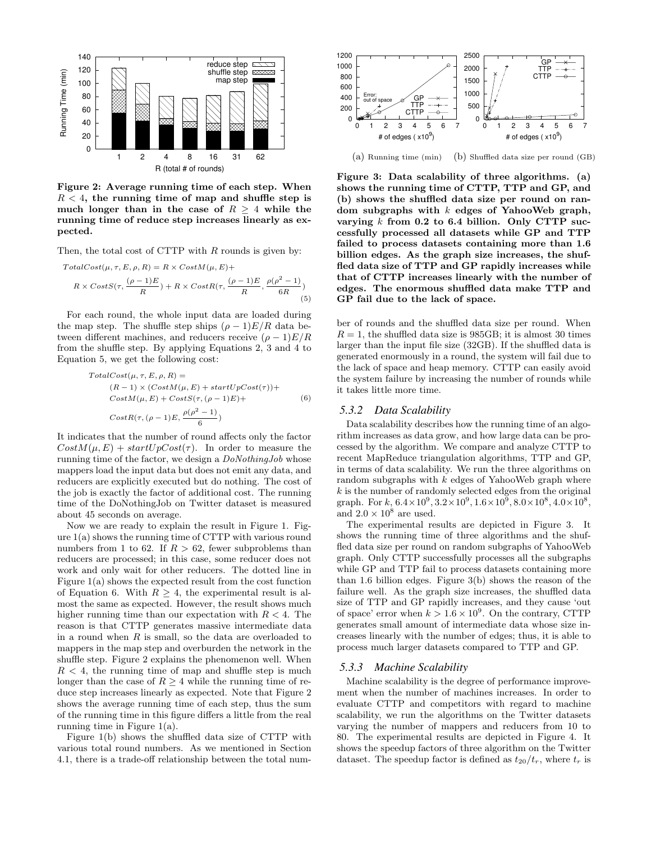

Figure 2: Average running time of each step. When  $R < 4$ , the running time of map and shuffle step is much longer than in the case of  $R \geq 4$  while the running time of reduce step increases linearly as expected.

Then, the total cost of CTTP with  $R$  rounds is given by:

$$
TotalCost(\mu, \tau, E, \rho, R) = R \times CostM(\mu, E) +
$$
  

$$
R \times CostS(\tau, \frac{(\rho - 1)E}{R}) + R \times CostR(\tau, \frac{(\rho - 1)E}{R}, \frac{\rho(\rho^2 - 1)}{6R})
$$
(5)

For each round, the whole input data are loaded during the map step. The shuffle step ships  $(\rho - 1)E/R$  data between different machines, and reducers receive  $(\rho - 1)E/R$ from the shuffle step. By applying Equations 2, 3 and 4 to Equation 5, we get the following cost:

$$
TotalCost(\mu, \tau, E, \rho, R) =
$$
  
\n
$$
(R-1) \times (CostM(\mu, E) + startUpCost(\tau)) +
$$
  
\n
$$
CostM(\mu, E) + CostS(\tau, (\rho - 1)E) +
$$
  
\n
$$
CostR(\tau, (\rho - 1)E, \frac{\rho(\rho^2 - 1)}{6})
$$
\n(6)

It indicates that the number of round affects only the factor  $CostM(\mu, E) + startUpCost(\tau)$ . In order to measure the running time of the factor, we design a DoNothingJob whose mappers load the input data but does not emit any data, and reducers are explicitly executed but do nothing. The cost of the job is exactly the factor of additional cost. The running time of the DoNothingJob on Twitter dataset is measured about 45 seconds on average.

Now we are ready to explain the result in Figure 1. Figure  $1(a)$  shows the running time of CTTP with various round numbers from 1 to 62. If  $R > 62$ , fewer subproblems than reducers are processed; in this case, some reducer does not work and only wait for other reducers. The dotted line in Figure 1(a) shows the expected result from the cost function of Equation 6. With  $R > 4$ , the experimental result is almost the same as expected. However, the result shows much higher running time than our expectation with  $R < 4$ . The reason is that CTTP generates massive intermediate data in a round when  $R$  is small, so the data are overloaded to mappers in the map step and overburden the network in the shuffle step. Figure 2 explains the phenomenon well. When  $R < 4$ , the running time of map and shuffle step is much longer than the case of  $R > 4$  while the running time of reduce step increases linearly as expected. Note that Figure 2 shows the average running time of each step, thus the sum of the running time in this figure differs a little from the real running time in Figure 1(a).

Figure 1(b) shows the shuffled data size of CTTP with various total round numbers. As we mentioned in Section 4.1, there is a trade-off relationship between the total num-



(a) Running time (min) (b) Shuffled data size per round (GB)

Figure 3: Data scalability of three algorithms. (a) shows the running time of CTTP, TTP and GP, and (b) shows the shuffled data size per round on random subgraphs with  $k$  edges of YahooWeb graph, varying  $k$  from 0.2 to 6.4 billion. Only CTTP successfully processed all datasets while GP and TTP failed to process datasets containing more than 1.6 billion edges. As the graph size increases, the shuffled data size of TTP and GP rapidly increases while that of CTTP increases linearly with the number of edges. The enormous shuffled data make TTP and GP fail due to the lack of space.

ber of rounds and the shuffled data size per round. When  $R = 1$ , the shuffled data size is 985GB; it is almost 30 times larger than the input file size (32GB). If the shuffled data is generated enormously in a round, the system will fail due to the lack of space and heap memory. CTTP can easily avoid the system failure by increasing the number of rounds while it takes little more time.

#### *5.3.2 Data Scalability*

Data scalability describes how the running time of an algorithm increases as data grow, and how large data can be processed by the algorithm. We compare and analyze CTTP to recent MapReduce triangulation algorithms, TTP and GP, in terms of data scalability. We run the three algorithms on random subgraphs with  $k$  edges of YahooWeb graph where  $k$  is the number of randomly selected edges from the original graph. For  $k, 6.4 \times 10^9, 3.2 \times 10^9, 1.6 \times 10^9, 8.0 \times 10^8, 4.0 \times 10^8$ , and  $2.0 \times 10^8$  are used.

The experimental results are depicted in Figure 3. It shows the running time of three algorithms and the shuffled data size per round on random subgraphs of YahooWeb graph. Only CTTP successfully processes all the subgraphs while GP and TTP fail to process datasets containing more than 1.6 billion edges. Figure 3(b) shows the reason of the failure well. As the graph size increases, the shuffled data size of TTP and GP rapidly increases, and they cause 'out of space' error when  $k > 1.6 \times 10^9$ . On the contrary, CTTP generates small amount of intermediate data whose size increases linearly with the number of edges; thus, it is able to process much larger datasets compared to TTP and GP.

#### *5.3.3 Machine Scalability*

Machine scalability is the degree of performance improvement when the number of machines increases. In order to evaluate CTTP and competitors with regard to machine scalability, we run the algorithms on the Twitter datasets varying the number of mappers and reducers from 10 to 80. The experimental results are depicted in Figure 4. It shows the speedup factors of three algorithm on the Twitter dataset. The speedup factor is defined as  $t_{20}/t_r$ , where  $t_r$  is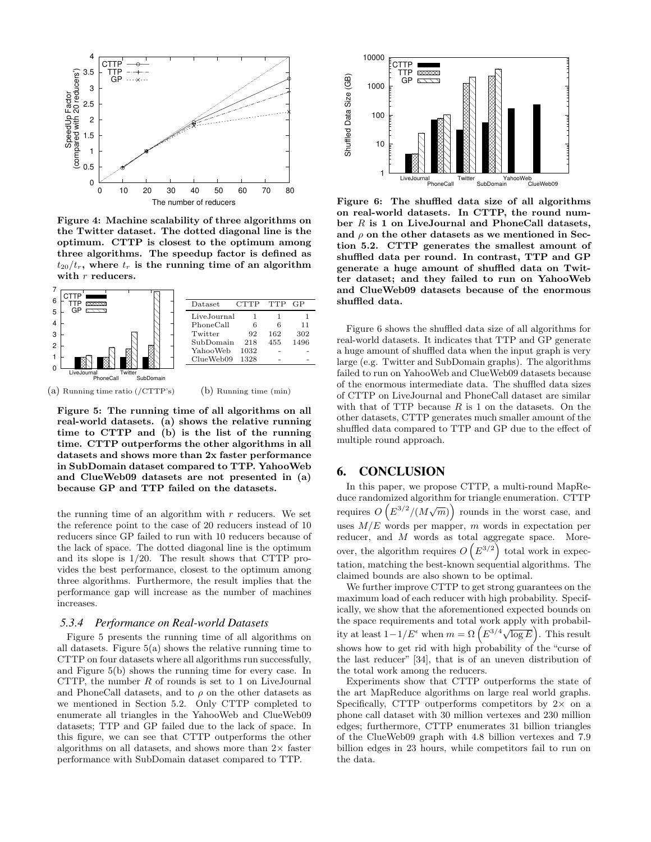

Figure 4: Machine scalability of three algorithms on the Twitter dataset. The dotted diagonal line is the optimum. CTTP is closest to the optimum among three algorithms. The speedup factor is defined as  $t_{20}/t_r$ , where  $t_r$  is the running time of an algorithm with  $r$  reducers.



(a) Running time ratio (/CTTP's)

(b) Running time (min)

Figure 5: The running time of all algorithms on all real-world datasets. (a) shows the relative running time to CTTP and (b) is the list of the running time. CTTP outperforms the other algorithms in all datasets and shows more than 2x faster performance in SubDomain dataset compared to TTP. YahooWeb and ClueWeb09 datasets are not presented in (a) because GP and TTP failed on the datasets.

the running time of an algorithm with  $r$  reducers. We set the reference point to the case of 20 reducers instead of 10 reducers since GP failed to run with 10 reducers because of the lack of space. The dotted diagonal line is the optimum and its slope is 1/20. The result shows that CTTP provides the best performance, closest to the optimum among three algorithms. Furthermore, the result implies that the performance gap will increase as the number of machines increases.

#### *5.3.4 Performance on Real-world Datasets*

Figure 5 presents the running time of all algorithms on all datasets. Figure 5(a) shows the relative running time to CTTP on four datasets where all algorithms run successfully, and Figure 5(b) shows the running time for every case. In CTTP, the number  $R$  of rounds is set to 1 on LiveJournal and PhoneCall datasets, and to  $\rho$  on the other datasets as we mentioned in Section 5.2. Only CTTP completed to enumerate all triangles in the YahooWeb and ClueWeb09 datasets; TTP and GP failed due to the lack of space. In this figure, we can see that CTTP outperforms the other algorithms on all datasets, and shows more than  $2\times$  faster performance with SubDomain dataset compared to TTP.



Figure 6: The shuffled data size of all algorithms on real-world datasets. In CTTP, the round number  $R$  is 1 on LiveJournal and PhoneCall datasets, and  $\rho$  on the other datasets as we mentioned in Section 5.2. CTTP generates the smallest amount of shuffled data per round. In contrast, TTP and GP generate a huge amount of shuffled data on Twitter dataset; and they failed to run on YahooWeb and ClueWeb09 datasets because of the enormous shuffled data.

Figure 6 shows the shuffled data size of all algorithms for real-world datasets. It indicates that TTP and GP generate a huge amount of shuffled data when the input graph is very large (e.g. Twitter and SubDomain graphs). The algorithms failed to run on YahooWeb and ClueWeb09 datasets because of the enormous intermediate data. The shuffled data sizes of CTTP on LiveJournal and PhoneCall dataset are similar with that of TTP because  $R$  is 1 on the datasets. On the other datasets, CTTP generates much smaller amount of the shuffled data compared to TTP and GP due to the effect of multiple round approach.

## 6. CONCLUSION

In this paper, we propose CTTP, a multi-round MapReduce randomized algorithm for triangle enumeration. CTTP requires  $O(E^{3/2}/(M\sqrt{m}))$  rounds in the worst case, and uses  $M/E$  words per mapper, m words in expectation per reducer, and M words as total aggregate space. Moreover, the algorithm requires  $O(E^{3/2})$  total work in expectation, matching the best-known sequential algorithms. The claimed bounds are also shown to be optimal.

We further improve CTTP to get strong guarantees on the maximum load of each reducer with high probability. Specifically, we show that the aforementioned expected bounds on the space requirements and total work apply with probability at least  $1-1/E^{\epsilon}$  when  $m = \Omega\left(E^{3/4}\sqrt{\log E}\right)$ . This result shows how to get rid with high probability of the "curse of the last reducer" [34], that is of an uneven distribution of the total work among the reducers.

Experiments show that CTTP outperforms the state of the art MapReduce algorithms on large real world graphs. Specifically, CTTP outperforms competitors by  $2\times$  on a phone call dataset with 30 million vertexes and 230 million edges; furthermore, CTTP enumerates 31 billion triangles of the ClueWeb09 graph with 4.8 billion vertexes and 7.9 billion edges in 23 hours, while competitors fail to run on the data.